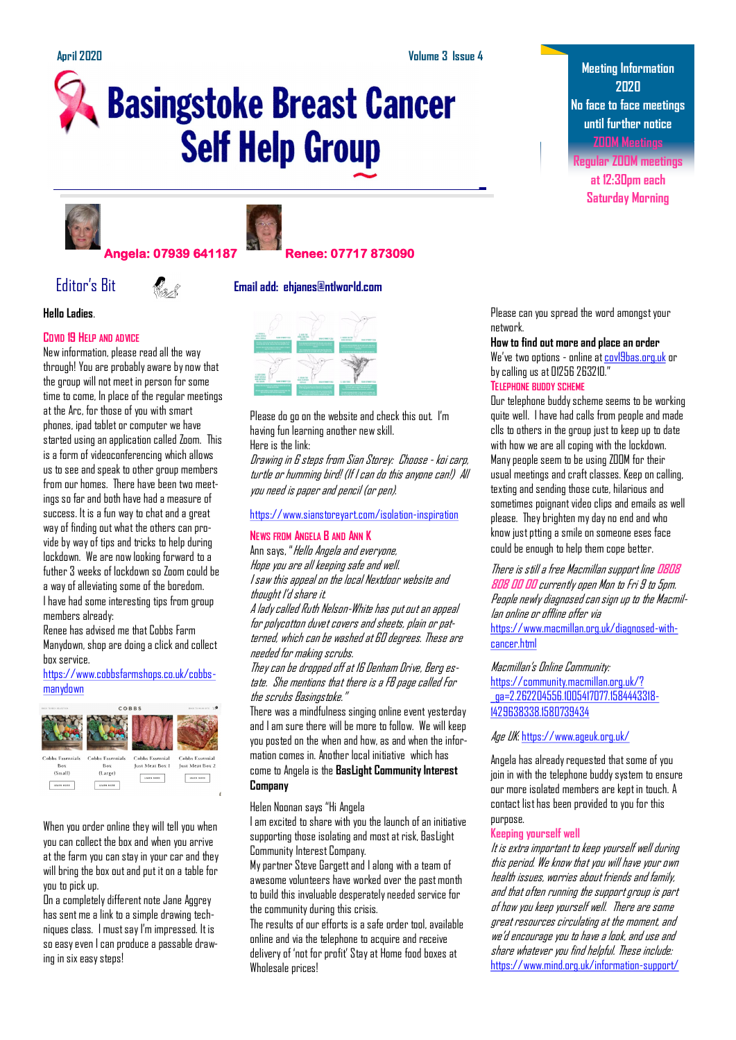# **Basingstoke Breast Cancer Self Help Group**





## **Angela: 07939 641187 Renee: 07717 873090**

#### **Hello Ladies**.

#### **COVID 19 HELP** AND ADVICE

New information, please read all the way through! You are probably aware by now that the group will not meet in person for some time to come, In place of the regular meetings at the Arc, for those of you with smart phones, ipad tablet or computer we have started using an application called Zoom. This is a form of videoconferencing which allows us to see and speak to other group members from our homes. There have been two meetings so far and both have had a measure of success. It is a fun way to chat and a great way of finding out what the others can provide by way of tips and tricks to help during lockdown. We are now looking forward to a futher 3 weeks of lockdown so Zoom could be a way of alleviating some of the boredom. I have had some interesting tips from group members already:

Renee has advised me that Cobbs Farm Manydown, shop are doing a click and collect hox service.

#### [https://www.cobbsfarmshops.co.uk/cobbs](https://www.cobbsfarmshops.co.uk/cobbs-manydown)[manydown](https://www.cobbsfarmshops.co.uk/cobbs-manydown)



When you order online they will tell you when you can collect the box and when you arrive at the farm you can stay in your car and they will bring the box out and put it on a table for you to pick up.

On a completely different note Jane Aggrey has sent me a link to a simple drawing techniques class. I must say I'm impressed. It is so easy even I can produce a passable drawing in six easy steps!





Please do go on the website and check this out. I'm having fun learning another new skill. Here is the link:

Drawing in 6 steps from Sian Storey: Choose - koi carp, turtle or humming bird! (If I can do this anyone can!) All you need is paper and pencil (or pen).

#### <https://www.sianstoreyart.com/isolation-inspiration>

#### **NEWS FROM ANGELA B AND ANN K**

Ann says, "Hello Angela and everyone, Hope you are all keeping safe and well. I saw this appeal on the local Nextdoor website and thought I'd share it.

A lady called Ruth Nelson-White has put out an appeal for polycotton duvet covers and sheets, plain or patterned, which can be washed at 60 degrees. These are needed for making scrubs.

They can be dropped off at 16 Denham Drive, Berg estate. She mentions that there is a FB page called For the scrubs Basingstoke."

There was a mindfulness singing online event yesterday and I am sure there will be more to follow. We will keep you posted on the when and how, as and when the information comes in. Another local initiative which has come to Angela is the **BasLight Community Interest Company**

Helen Noonan says "Hi Angela

I am excited to share with you the launch of an initiative supporting those isolating and most at risk, BasLight Community Interest Company.

My partner Steve Gargett and I along with a team of awesome volunteers have worked over the past month to build this invaluable desperately needed service for the community during this crisis.

The results of our efforts is a safe order tool, available online and via the telephone to acquire and receive delivery of 'not for profit' Stay at Home food boxes at Wholesale prices!

**Meeting Information 2020 No face to face meetings until further notice ZOOM Meetings**

**Regular ZOOM meetings at 12:30pm each Saturday Morning**

Please can you spread the word amongst your network.

#### **How to find out more and place an order**

We've two options - online at [cov19bas.org.uk](http://cov19bas.org.uk/) or by calling us at 01256 263210."

### **TELEPHONE BUDDY SCHEME**

Our telephone buddy scheme seems to be working quite well. I have had calls from people and made clls to others in the group just to keep up to date with how we are all coping with the lockdown. Many people seem to be using ZOOM for their usual meetings and craft classes. Keep on calling, texting and sending those cute, hilarious and sometimes poignant video clips and emails as well please. They brighten my day no end and who know just ptting a smile on someone eses face could be enough to help them cope better.

There is still a free Macmillan support line **[0808](tel:08088080000)  [808 00 00](tel:08088080000)** currently open Mon to Fri 9 to 5pm. People newly diagnosed can sign up to the Macmillan online or offline offer via [https://www.macmillan.org.uk/diagnosed-with](https://www.macmillan.org.uk/diagnosed-with-cancer.html)[cancer.html](https://www.macmillan.org.uk/diagnosed-with-cancer.html)

Macmillan's Online Community: [https://community.macmillan.org.uk/?](https://community.macmillan.org.uk/?_ga=2.262204556.1005417077.1584443318-1429638338.1580739434) [\\_ga=2.262204556.1005417077.1584443318-](https://community.macmillan.org.uk/?_ga=2.262204556.1005417077.1584443318-1429638338.1580739434) [1429638338.1580739434](https://community.macmillan.org.uk/?_ga=2.262204556.1005417077.1584443318-1429638338.1580739434)

Age UK:<https://www.ageuk.org.uk/>

Angela has already requested that some of you join in with the telephone buddy system to ensure our more isolated members are kept in touch. A contact list has been provided to you for this purpose.

#### **Keeping yourself well**

It is extra important to keep yourself well during this period. We know that you will have your own health issues, worries about friends and family, and that often running the support group is part of how you keep yourself well. There are some great resources circulating at the moment, and we'd encourage you to have a look, and use and share whatever you find helpful. These include: [https://www.mind.org.uk/information-support/](https://www.mind.org.uk/information-support/coronavirus-and-your-wellbeing/)